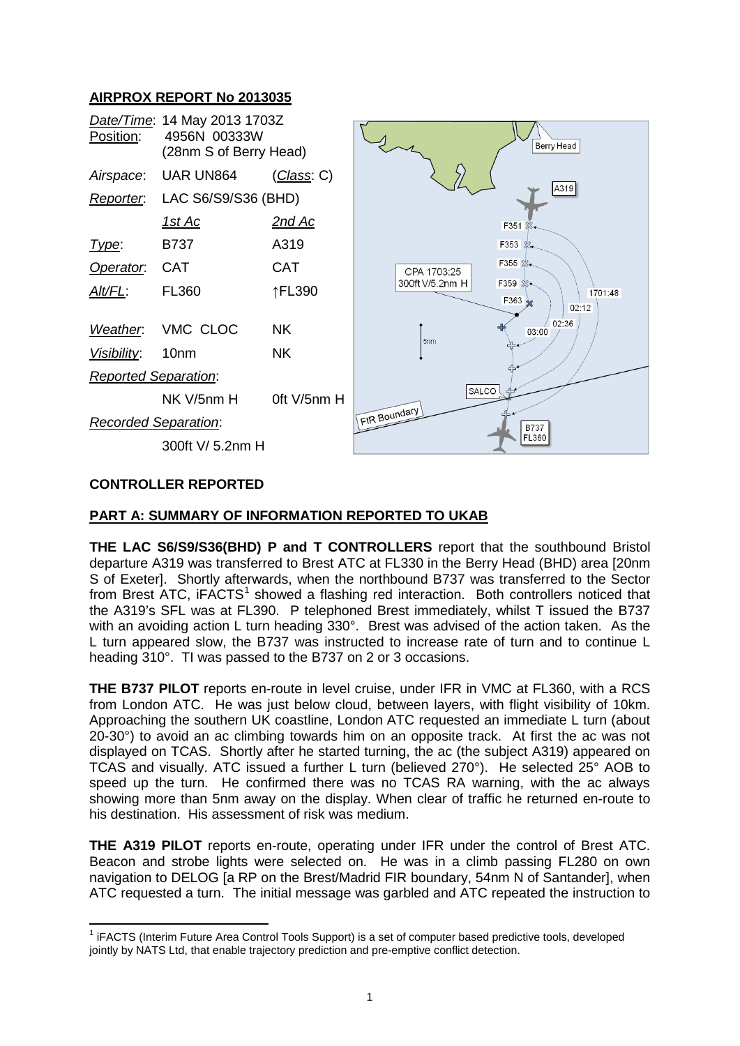## **AIRPROX REPORT No 2013035**

| Position:                                   | Date/Time: 14 May 2013 1703Z<br>4956N 00333W<br>(28nm S of Berry Head) |                    |                 | Berry Head                           |
|---------------------------------------------|------------------------------------------------------------------------|--------------------|-----------------|--------------------------------------|
| Airspace:                                   | <b>UAR UN864</b>                                                       | <u>(Class</u> : C) |                 |                                      |
| Reporter.                                   | LAC S6/S9/S36 (BHD)                                                    |                    |                 | A319                                 |
|                                             | 1st Ac                                                                 | <u>2nd Ac</u>      |                 | $F351$ $%$ .                         |
| Type:                                       | <b>B737</b>                                                            | A319               |                 | F353 %                               |
| Operator.                                   | <b>CAT</b>                                                             | <b>CAT</b>         | CPA 1703:25     | F355 &                               |
| Alt/FL:                                     | <b>FL360</b>                                                           | ↑FL390             | 300ft V/5.2nm H | F359 83-<br>1701:48<br>$F363 \times$ |
|                                             |                                                                        |                    |                 | 02:12                                |
| Weather.                                    | VMC CLOC                                                               | NK.                | 5nm             | $\frac{1}{2}$ 02:36<br>03:00         |
| Visibility:                                 | 10 <sub>nm</sub>                                                       | <b>NK</b>          |                 |                                      |
| <b>Reported Separation:</b>                 |                                                                        |                    |                 |                                      |
|                                             | NK V/5nm H                                                             | Oft V/5nm H        |                 | <b>SALCO</b><br>$-$                  |
| FIR Boundary<br><b>Recorded Separation:</b> |                                                                        |                    |                 | <b>B737</b>                          |
|                                             | 300ft V/ 5.2nm H                                                       |                    |                 | FL360                                |
|                                             |                                                                        |                    |                 |                                      |

## **CONTROLLER REPORTED**

#### **PART A: SUMMARY OF INFORMATION REPORTED TO UKAB**

**THE LAC S6/S9/S36(BHD) P and T CONTROLLERS** report that the southbound Bristol departure A319 was transferred to Brest ATC at FL330 in the Berry Head (BHD) area [20nm S of Exeter]. Shortly afterwards, when the northbound B737 was transferred to the Sector from Brest ATC, iFACTS<sup>[1](#page-0-0)</sup> showed a flashing red interaction. Both controllers noticed that the A319's SFL was at FL390. P telephoned Brest immediately, whilst T issued the B737 with an avoiding action L turn heading 330°. Brest was advised of the action taken. As the L turn appeared slow, the B737 was instructed to increase rate of turn and to continue L heading 310°. TI was passed to the B737 on 2 or 3 occasions.

**THE B737 PILOT** reports en-route in level cruise, under IFR in VMC at FL360, with a RCS from London ATC. He was just below cloud, between layers, with flight visibility of 10km. Approaching the southern UK coastline, London ATC requested an immediate L turn (about 20-30°) to avoid an ac climbing towards him on an opposite track. At first the ac was not displayed on TCAS. Shortly after he started turning, the ac (the subject A319) appeared on TCAS and visually. ATC issued a further L turn (believed 270°). He selected 25° AOB to speed up the turn. He confirmed there was no TCAS RA warning, with the ac always showing more than 5nm away on the display. When clear of traffic he returned en-route to his destination. His assessment of risk was medium.

**THE A319 PILOT** reports en-route, operating under IFR under the control of Brest ATC. Beacon and strobe lights were selected on. He was in a climb passing FL280 on own navigation to DELOG [a RP on the Brest/Madrid FIR boundary, 54nm N of Santander], when ATC requested a turn. The initial message was garbled and ATC repeated the instruction to

<span id="page-0-0"></span> $1$  iFACTS (Interim Future Area Control Tools Support) is a set of computer based predictive tools, developed jointly by NATS Ltd, that enable trajectory prediction and pre-emptive conflict detection.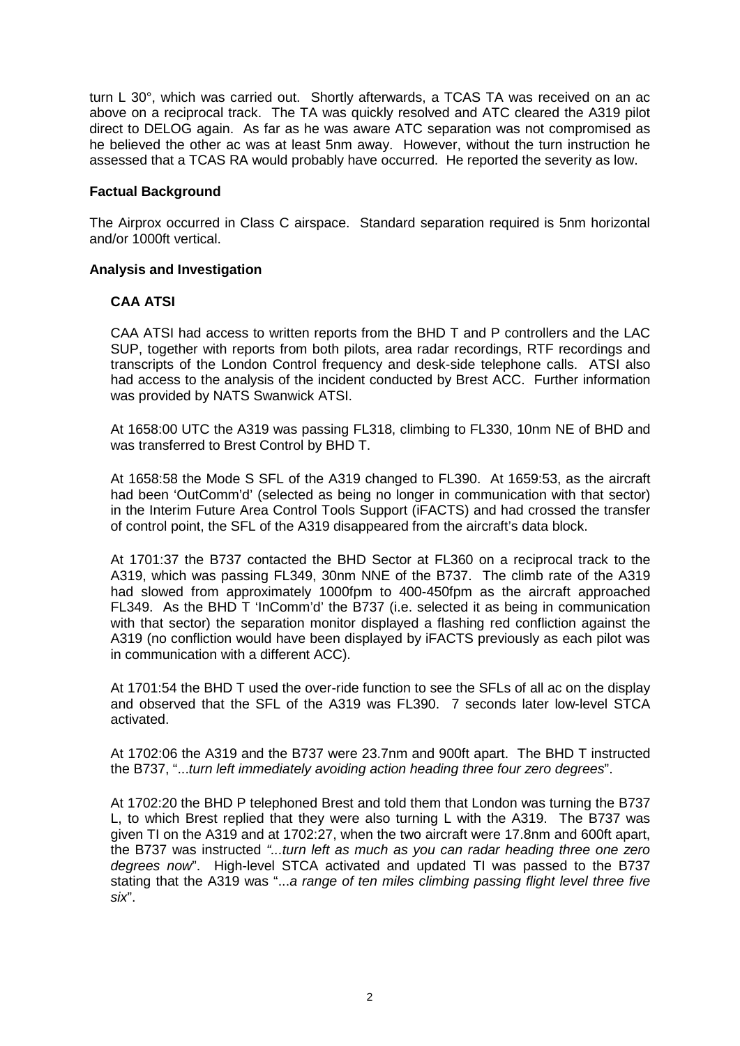turn L 30°, which was carried out. Shortly afterwards, a TCAS TA was received on an ac above on a reciprocal track. The TA was quickly resolved and ATC cleared the A319 pilot direct to DELOG again. As far as he was aware ATC separation was not compromised as he believed the other ac was at least 5nm away. However, without the turn instruction he assessed that a TCAS RA would probably have occurred. He reported the severity as low.

#### **Factual Background**

The Airprox occurred in Class C airspace. Standard separation required is 5nm horizontal and/or 1000ft vertical.

#### **Analysis and Investigation**

#### **CAA ATSI**

CAA ATSI had access to written reports from the BHD T and P controllers and the LAC SUP, together with reports from both pilots, area radar recordings, RTF recordings and transcripts of the London Control frequency and desk-side telephone calls. ATSI also had access to the analysis of the incident conducted by Brest ACC. Further information was provided by NATS Swanwick ATSI.

At 1658:00 UTC the A319 was passing FL318, climbing to FL330, 10nm NE of BHD and was transferred to Brest Control by BHD T.

At 1658:58 the Mode S SFL of the A319 changed to FL390. At 1659:53, as the aircraft had been 'OutComm'd' (selected as being no longer in communication with that sector) in the Interim Future Area Control Tools Support (iFACTS) and had crossed the transfer of control point, the SFL of the A319 disappeared from the aircraft's data block.

At 1701:37 the B737 contacted the BHD Sector at FL360 on a reciprocal track to the A319, which was passing FL349, 30nm NNE of the B737. The climb rate of the A319 had slowed from approximately 1000fpm to 400-450fpm as the aircraft approached FL349. As the BHD T 'InComm'd' the B737 (i.e. selected it as being in communication with that sector) the separation monitor displayed a flashing red confliction against the A319 (no confliction would have been displayed by iFACTS previously as each pilot was in communication with a different ACC).

At 1701:54 the BHD T used the over-ride function to see the SFLs of all ac on the display and observed that the SFL of the A319 was FL390. 7 seconds later low-level STCA activated.

At 1702:06 the A319 and the B737 were 23.7nm and 900ft apart. The BHD T instructed the B737, "...*turn left immediately avoiding action heading three four zero degrees*".

At 1702:20 the BHD P telephoned Brest and told them that London was turning the B737 L, to which Brest replied that they were also turning L with the A319. The B737 was given TI on the A319 and at 1702:27, when the two aircraft were 17.8nm and 600ft apart, the B737 was instructed *"...turn left as much as you can radar heading three one zero degrees now*". High-level STCA activated and updated TI was passed to the B737 stating that the A319 was "...*a range of ten miles climbing passing flight level three five six*".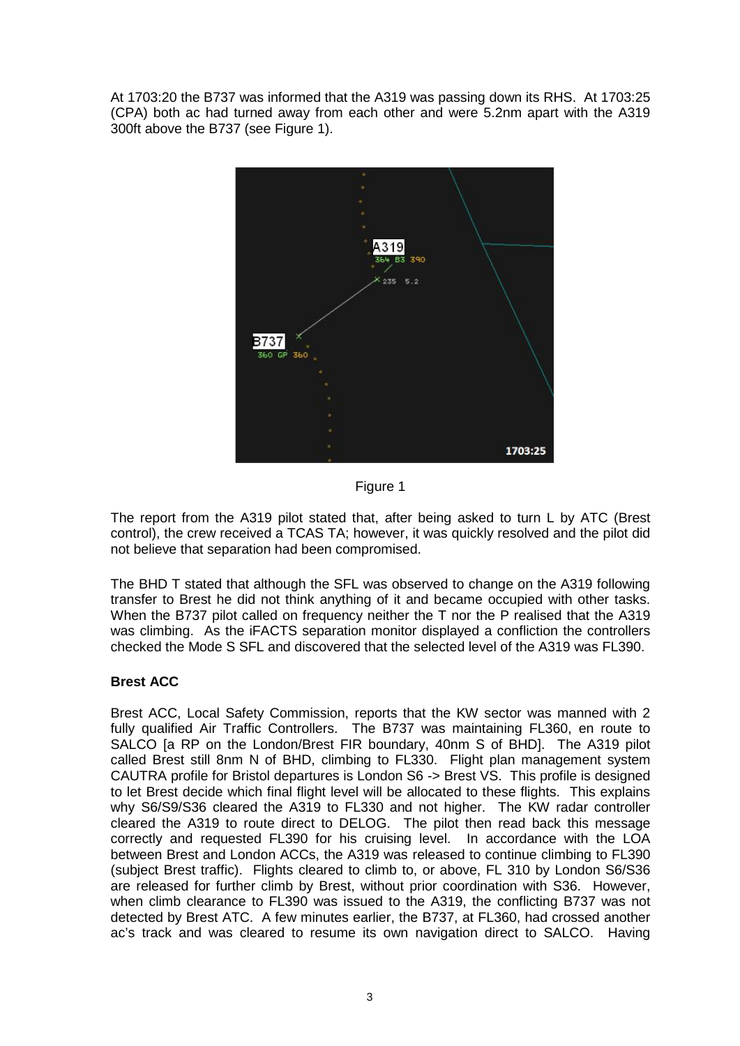At 1703:20 the B737 was informed that the A319 was passing down its RHS. At 1703:25 (CPA) both ac had turned away from each other and were 5.2nm apart with the A319 300ft above the B737 (see Figure 1).



Figure 1

The report from the A319 pilot stated that, after being asked to turn L by ATC (Brest control), the crew received a TCAS TA; however, it was quickly resolved and the pilot did not believe that separation had been compromised.

The BHD T stated that although the SFL was observed to change on the A319 following transfer to Brest he did not think anything of it and became occupied with other tasks. When the B737 pilot called on frequency neither the T nor the P realised that the A319 was climbing. As the iFACTS separation monitor displayed a confliction the controllers checked the Mode S SFL and discovered that the selected level of the A319 was FL390.

# **Brest ACC**

Brest ACC, Local Safety Commission, reports that the KW sector was manned with 2 fully qualified Air Traffic Controllers. The B737 was maintaining FL360, en route to SALCO [a RP on the London/Brest FIR boundary, 40nm S of BHD]. The A319 pilot called Brest still 8nm N of BHD, climbing to FL330. Flight plan management system CAUTRA profile for Bristol departures is London S6 -> Brest VS. This profile is designed to let Brest decide which final flight level will be allocated to these flights. This explains why S6/S9/S36 cleared the A319 to FL330 and not higher. The KW radar controller cleared the A319 to route direct to DELOG. The pilot then read back this message correctly and requested FL390 for his cruising level. In accordance with the LOA between Brest and London ACCs, the A319 was released to continue climbing to FL390 (subject Brest traffic). Flights cleared to climb to, or above, FL 310 by London S6/S36 are released for further climb by Brest, without prior coordination with S36. However, when climb clearance to FL390 was issued to the A319, the conflicting B737 was not detected by Brest ATC. A few minutes earlier, the B737, at FL360, had crossed another ac's track and was cleared to resume its own navigation direct to SALCO. Having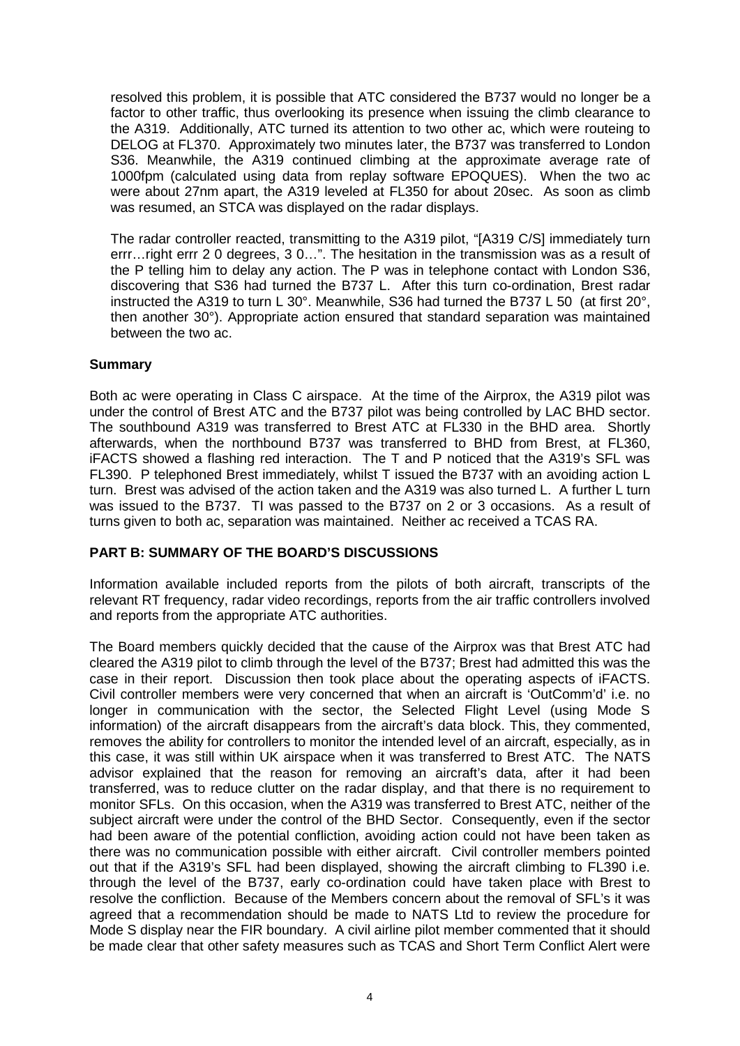resolved this problem, it is possible that ATC considered the B737 would no longer be a factor to other traffic, thus overlooking its presence when issuing the climb clearance to the A319. Additionally, ATC turned its attention to two other ac, which were routeing to DELOG at FL370. Approximately two minutes later, the B737 was transferred to London S36. Meanwhile, the A319 continued climbing at the approximate average rate of 1000fpm (calculated using data from replay software EPOQUES). When the two ac were about 27nm apart, the A319 leveled at FL350 for about 20sec. As soon as climb was resumed, an STCA was displayed on the radar displays.

The radar controller reacted, transmitting to the A319 pilot, "[A319 C/S] immediately turn errr…right errr 2 0 degrees, 3 0…". The hesitation in the transmission was as a result of the P telling him to delay any action. The P was in telephone contact with London S36, discovering that S36 had turned the B737 L. After this turn co-ordination, Brest radar instructed the A319 to turn L 30°. Meanwhile, S36 had turned the B737 L 50 (at first 20°, then another 30°). Appropriate action ensured that standard separation was maintained between the two ac.

## **Summary**

Both ac were operating in Class C airspace. At the time of the Airprox, the A319 pilot was under the control of Brest ATC and the B737 pilot was being controlled by LAC BHD sector. The southbound A319 was transferred to Brest ATC at FL330 in the BHD area. Shortly afterwards, when the northbound B737 was transferred to BHD from Brest, at FL360, iFACTS showed a flashing red interaction. The T and P noticed that the A319's SFL was FL390. P telephoned Brest immediately, whilst T issued the B737 with an avoiding action L turn. Brest was advised of the action taken and the A319 was also turned L. A further L turn was issued to the B737. TI was passed to the B737 on 2 or 3 occasions. As a result of turns given to both ac, separation was maintained. Neither ac received a TCAS RA.

## **PART B: SUMMARY OF THE BOARD'S DISCUSSIONS**

Information available included reports from the pilots of both aircraft, transcripts of the relevant RT frequency, radar video recordings, reports from the air traffic controllers involved and reports from the appropriate ATC authorities.

The Board members quickly decided that the cause of the Airprox was that Brest ATC had cleared the A319 pilot to climb through the level of the B737; Brest had admitted this was the case in their report. Discussion then took place about the operating aspects of iFACTS. Civil controller members were very concerned that when an aircraft is 'OutComm'd' i.e. no longer in communication with the sector, the Selected Flight Level (using Mode S information) of the aircraft disappears from the aircraft's data block. This, they commented, removes the ability for controllers to monitor the intended level of an aircraft, especially, as in this case, it was still within UK airspace when it was transferred to Brest ATC. The NATS advisor explained that the reason for removing an aircraft's data, after it had been transferred, was to reduce clutter on the radar display, and that there is no requirement to monitor SFLs. On this occasion, when the A319 was transferred to Brest ATC, neither of the subject aircraft were under the control of the BHD Sector. Consequently, even if the sector had been aware of the potential confliction, avoiding action could not have been taken as there was no communication possible with either aircraft. Civil controller members pointed out that if the A319's SFL had been displayed, showing the aircraft climbing to FL390 i.e. through the level of the B737, early co-ordination could have taken place with Brest to resolve the confliction. Because of the Members concern about the removal of SFL's it was agreed that a recommendation should be made to NATS Ltd to review the procedure for Mode S display near the FIR boundary. A civil airline pilot member commented that it should be made clear that other safety measures such as TCAS and Short Term Conflict Alert were